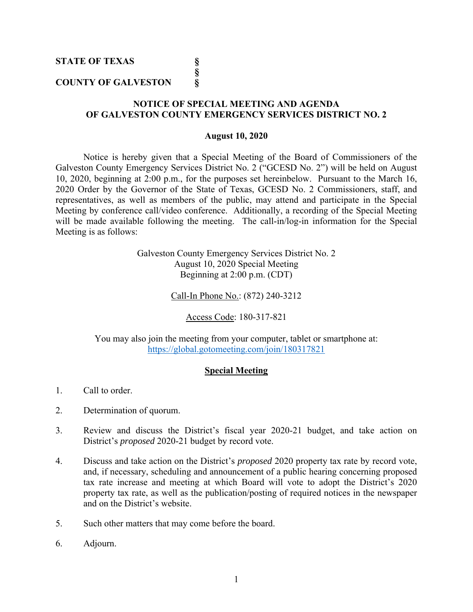**STATE OF TEXAS §** 

# **COUNTY OF GALVESTON §**

 **§** 

# **NOTICE OF SPECIAL MEETING AND AGENDA OF GALVESTON COUNTY EMERGENCY SERVICES DISTRICT NO. 2**

## **August 10, 2020**

Notice is hereby given that a Special Meeting of the Board of Commissioners of the Galveston County Emergency Services District No. 2 ("GCESD No. 2") will be held on August 10, 2020, beginning at 2:00 p.m., for the purposes set hereinbelow. Pursuant to the March 16, 2020 Order by the Governor of the State of Texas, GCESD No. 2 Commissioners, staff, and representatives, as well as members of the public, may attend and participate in the Special Meeting by conference call/video conference. Additionally, a recording of the Special Meeting will be made available following the meeting. The call-in/log-in information for the Special Meeting is as follows:

> Galveston County Emergency Services District No. 2 August 10, 2020 Special Meeting Beginning at 2:00 p.m. (CDT)

> > Call-In Phone No.: (872) 240-3212

Access Code: 180-317-821

You may also join the meeting from your computer, tablet or smartphone at: https://global.gotomeeting.com/join/180317821

## **Special Meeting**

- 1. Call to order.
- 2. Determination of quorum.
- 3. Review and discuss the District's fiscal year 2020-21 budget, and take action on District's *proposed* 2020-21 budget by record vote.
- 4. Discuss and take action on the District's *proposed* 2020 property tax rate by record vote, and, if necessary, scheduling and announcement of a public hearing concerning proposed tax rate increase and meeting at which Board will vote to adopt the District's 2020 property tax rate, as well as the publication/posting of required notices in the newspaper and on the District's website.
- 5. Such other matters that may come before the board.
- 6. Adjourn.